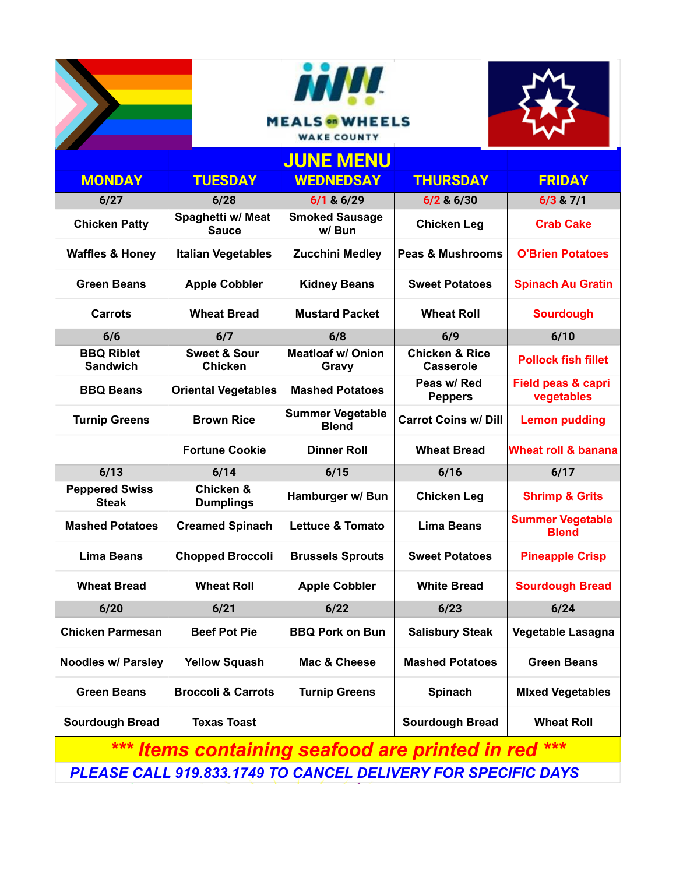



|                                                           |                                           | <b>JUNE MENU</b>                        |                                               |                                             |  |  |
|-----------------------------------------------------------|-------------------------------------------|-----------------------------------------|-----------------------------------------------|---------------------------------------------|--|--|
| <b>MONDAY</b>                                             | <b>TUESDAY</b>                            | <b>WEDNEDSAY</b>                        | <b>THURSDAY</b>                               | <b>FRIDAY</b>                               |  |  |
| 6/27                                                      | 6/28                                      | $6/1$ & $6/29$                          | $6/2$ & $6/30$                                | $6/3$ & $7/1$                               |  |  |
| <b>Chicken Patty</b>                                      | Spaghetti w/ Meat<br><b>Sauce</b>         | <b>Smoked Sausage</b><br>w/Bun          | <b>Chicken Leg</b>                            | <b>Crab Cake</b>                            |  |  |
| <b>Waffles &amp; Honey</b>                                | <b>Italian Vegetables</b>                 | <b>Zucchini Medley</b>                  | <b>Peas &amp; Mushrooms</b>                   | <b>O'Brien Potatoes</b>                     |  |  |
| <b>Green Beans</b>                                        | <b>Apple Cobbler</b>                      | <b>Kidney Beans</b>                     | <b>Sweet Potatoes</b>                         | <b>Spinach Au Gratin</b>                    |  |  |
| Carrots                                                   | <b>Wheat Bread</b>                        | <b>Mustard Packet</b>                   | <b>Wheat Roll</b>                             | <b>Sourdough</b>                            |  |  |
| 6/6                                                       | 6/7                                       | 6/8                                     | 6/9                                           | 6/10                                        |  |  |
| <b>BBQ Riblet</b><br><b>Sandwich</b>                      | <b>Sweet &amp; Sour</b><br><b>Chicken</b> | <b>Meatloaf w/ Onion</b><br>Gravy       | <b>Chicken &amp; Rice</b><br><b>Casserole</b> | <b>Pollock fish fillet</b>                  |  |  |
| <b>BBQ Beans</b>                                          | <b>Oriental Vegetables</b>                | <b>Mashed Potatoes</b>                  | Peas w/ Red<br><b>Peppers</b>                 | <b>Field peas &amp; capri</b><br>vegetables |  |  |
| <b>Turnip Greens</b>                                      | <b>Brown Rice</b>                         | <b>Summer Vegetable</b><br><b>Blend</b> | <b>Carrot Coins w/ Dill</b>                   | <b>Lemon pudding</b>                        |  |  |
|                                                           | <b>Fortune Cookie</b>                     | <b>Dinner Roll</b>                      | <b>Wheat Bread</b>                            | Wheat roll & banana                         |  |  |
| 6/13                                                      | 6/14                                      | 6/15                                    | 6/16                                          | 6/17                                        |  |  |
| <b>Peppered Swiss</b><br><b>Steak</b>                     | <b>Chicken &amp;</b><br><b>Dumplings</b>  | Hamburger w/ Bun                        | <b>Chicken Leg</b>                            | <b>Shrimp &amp; Grits</b>                   |  |  |
| <b>Mashed Potatoes</b>                                    | <b>Creamed Spinach</b>                    | <b>Lettuce &amp; Tomato</b>             | <b>Lima Beans</b>                             | <b>Summer Vegetable</b><br><b>Blend</b>     |  |  |
| <b>Lima Beans</b>                                         | <b>Chopped Broccoli</b>                   | <b>Brussels Sprouts</b>                 | <b>Sweet Potatoes</b>                         | <b>Pineapple Crisp</b>                      |  |  |
| <b>Wheat Bread</b>                                        | <b>Wheat Roll</b>                         | <b>Apple Cobbler</b>                    | <b>White Bread</b>                            | <b>Sourdough Bread</b>                      |  |  |
| 6/20                                                      | 6/21                                      | 6/22                                    | 6/23                                          | 6/24                                        |  |  |
| <b>Chicken Parmesan</b>                                   | <b>Beef Pot Pie</b>                       | <b>BBQ Pork on Bun</b>                  | <b>Salisbury Steak</b>                        | Vegetable Lasagna                           |  |  |
| <b>Noodles w/ Parsley</b>                                 | <b>Yellow Squash</b>                      | Mac & Cheese                            | <b>Mashed Potatoes</b>                        | <b>Green Beans</b>                          |  |  |
| <b>Green Beans</b>                                        | <b>Broccoli &amp; Carrots</b>             | <b>Turnip Greens</b>                    | <b>Spinach</b>                                | <b>Mixed Vegetables</b>                     |  |  |
| <b>Sourdough Bread</b>                                    | <b>Texas Toast</b>                        |                                         | <b>Sourdough Bread</b>                        | <b>Wheat Roll</b>                           |  |  |
| ***<br>***<br>Items containing seafood are printed in red |                                           |                                         |                                               |                                             |  |  |

 *PLEASE CALL 919.833.1749 TO CANCEL DELIVERY FOR SPECIFIC DAYS*